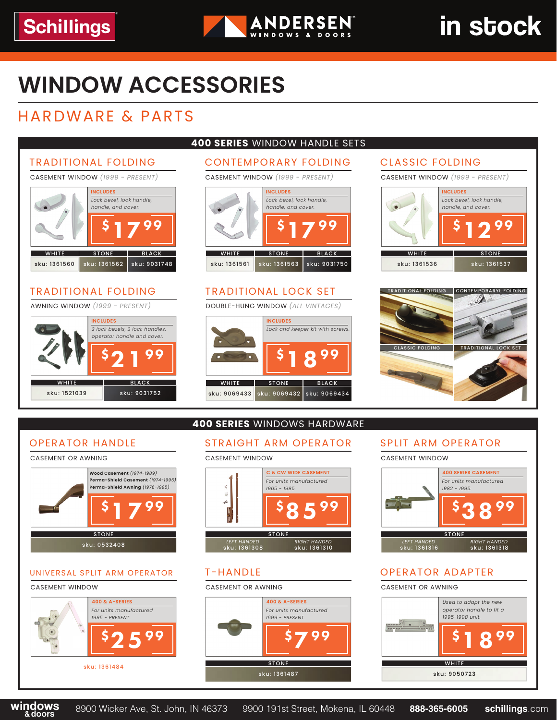

# in stock

## **WINDOW ACCESSORIES**

## HARDWARE & PARTS





#### UNIVERSAL SPLIT ARM OPERATOR

#### CASEMENT WINDOW





### T-HANDLE

#### CASEMENT OR AWNING





### OPERATOR ADAPTER

#### CASEMENT OR AWNING